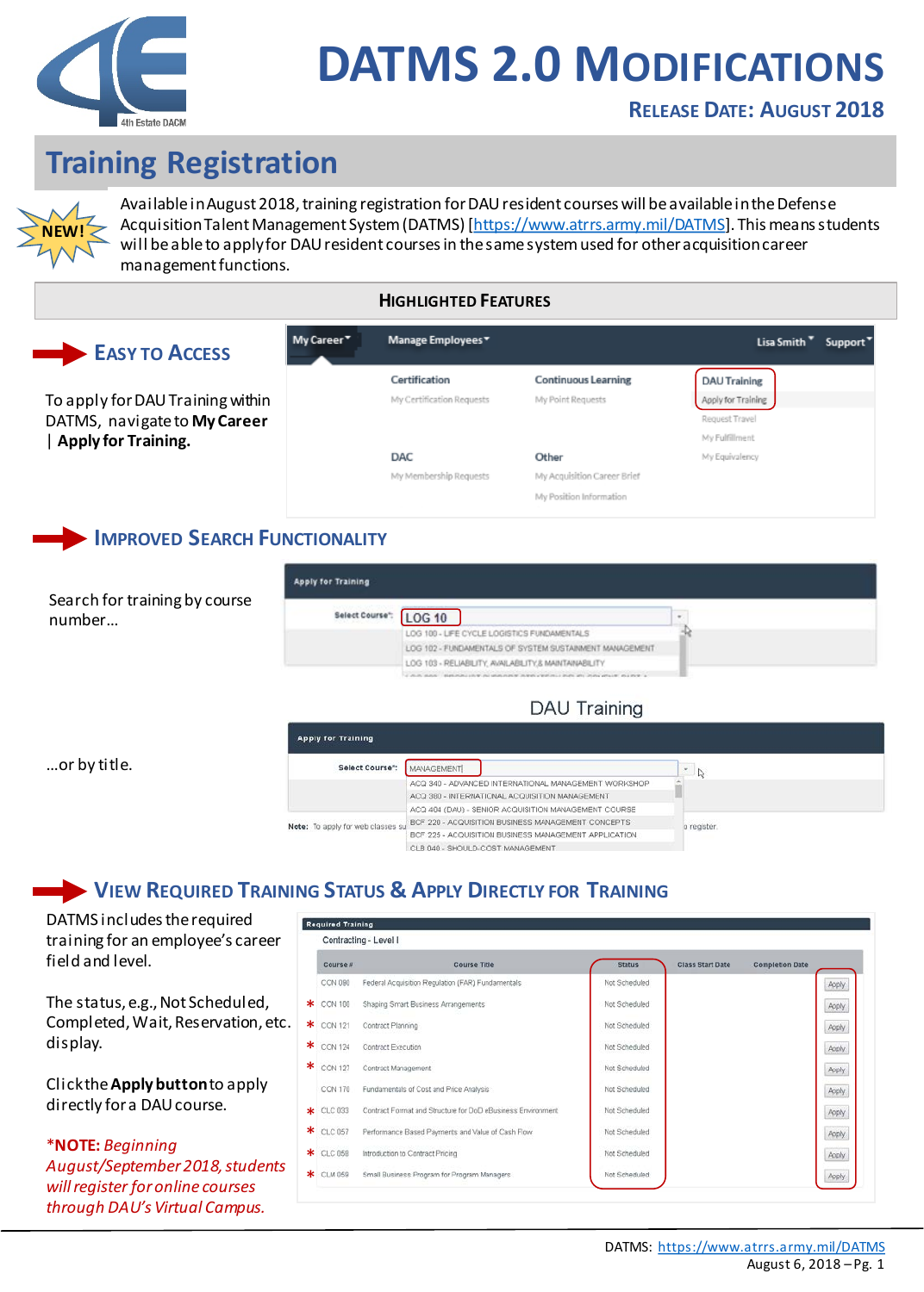

# **Training Registration**



Available in August 2018, training registration for DAU resident courses will be available in the Defense Acquisition Talent Management System (DATMS) [[https://www.atrrs.army.mil/DATMS\]](https://www.atrrs.army.mil/DATMS). This means students will be able to apply for DAU resident courses in the same system used for other acquisition career management functions.

#### **HIGHLIGHTED FEATURES**

## **EASY TO ACCESS**

To apply for DAU Training within DATMS, navigate to **My Career**  | **Apply for Training.**

| Manage Employees▼         |                             | Lisa Smith <sup>*</sup><br>Support <sup>*</sup> |
|---------------------------|-----------------------------|-------------------------------------------------|
| Certification             | <b>Continuous Learning</b>  | <b>DAU Training</b>                             |
| My Certification Requests | My Point Requests           | Apply for Training                              |
|                           |                             | Request Travel                                  |
|                           |                             | My Fulfillment                                  |
| <b>DAC</b>                | Other                       | My Equivalency                                  |
| My Membership Requests    | My Acquisition Career Brief |                                                 |
|                           | My Position Information     |                                                 |
|                           |                             |                                                 |

### **IMPROVED SEARCH FUNCTIONALITY**

My Career\*

Search for training by course number…

| Select Course": | <b>LOG 10</b>                                           | $\sim$ |
|-----------------|---------------------------------------------------------|--------|
|                 | LOG 100 - LIFE CYCLE LOGISTICS FUNDAMENTALS             |        |
|                 | LOG 102 - FUNDAMENTALS OF SYSTEM SUSTAINMENT MANAGEMENT |        |
|                 | LOG 103 - RELIABILITY, AVAILABILITY, & MAINTAINABILITY  |        |

#### DAU Training

…or by title.

| Select Course":                   | <b>MANAGEMENT</b>                                     | $\sim$<br>$\mathbb{Z}$ |
|-----------------------------------|-------------------------------------------------------|------------------------|
|                                   | ACQ 340 - ADVANCED INTERNATIONAL MANAGEMENT WORKSHOP  |                        |
|                                   | ACQ 380 - INTERNATIONAL ACQUISITION MANAGEMENT        |                        |
|                                   | ACQ 404 (DAU) - SENIOR ACQUISITION MANAGEMENT COURSE  |                        |
| Note: To apply for web classes su | BCF 220 - ACQUISITION BUSINESS MANAGEMENT CONCEPTS    | o register.            |
|                                   | BCF 225 - ACQUISITION BUSINESS MANAGEMENT APPLICATION |                        |
|                                   | CLB 040 - SHOULD-COST MANAGEMENT                      |                        |

## **VIEW REQUIRED TRAINING STATUS & APPLY DIRECTLY FOR TRAINING**

DATMS includes the required training for an employee's career field and level.

The status, e.g., Not Scheduled, Completed, Wait, Reservation, etc. display.

Click the **Apply button** to apply directly for a DAU course.

\***NOTE:** *Beginning August/September 2018, students will register for online courses through DAU's Virtual Campus.*

|   | <b>Required Training</b> |                                                             |               |                         |                        |
|---|--------------------------|-------------------------------------------------------------|---------------|-------------------------|------------------------|
|   |                          | Contracting - Level I                                       |               |                         |                        |
|   | Course #                 | Course Title                                                | <b>Status</b> | <b>Class Start Date</b> | <b>Completion Date</b> |
|   | CON 090                  | Federal Acquisition Regulation (FAR) Fundamentals           | Not Scheduled |                         | Apply                  |
|   | $\star$ CON 100          | Shaping Smart Business Arrangements                         | Not Scheduled |                         | Apply                  |
|   | <b>*</b> CON 121         | Contract Planning                                           | Not Scheduled |                         | Apply                  |
| ∗ | <b>CON 124</b>           | Contract Execution                                          | Not Scheduled |                         | Apply                  |
|   | * CON 127                | Contract Management                                         | Not Scheduled |                         | Apply                  |
|   | <b>CON 170</b>           | Fundamentals of Cost and Price Analysis                     | Not Scheduled |                         | Apply                  |
|   | $\star$ CLC 033          | Contract Format and Structure for DoD eBusiness Environment | Not Scheduled |                         | Apply                  |
|   | * CLC 057                | Performance Based Payments and Value of Cash Flow           | Not Scheduled |                         | Apply.                 |
|   | * CLC 05B                | Introduction to Contract Pricing                            | Not Scheduled |                         | Apply.                 |
|   | * CLM 059                | Small Business Program for Program Managers                 | Not Scheduled |                         | Apply                  |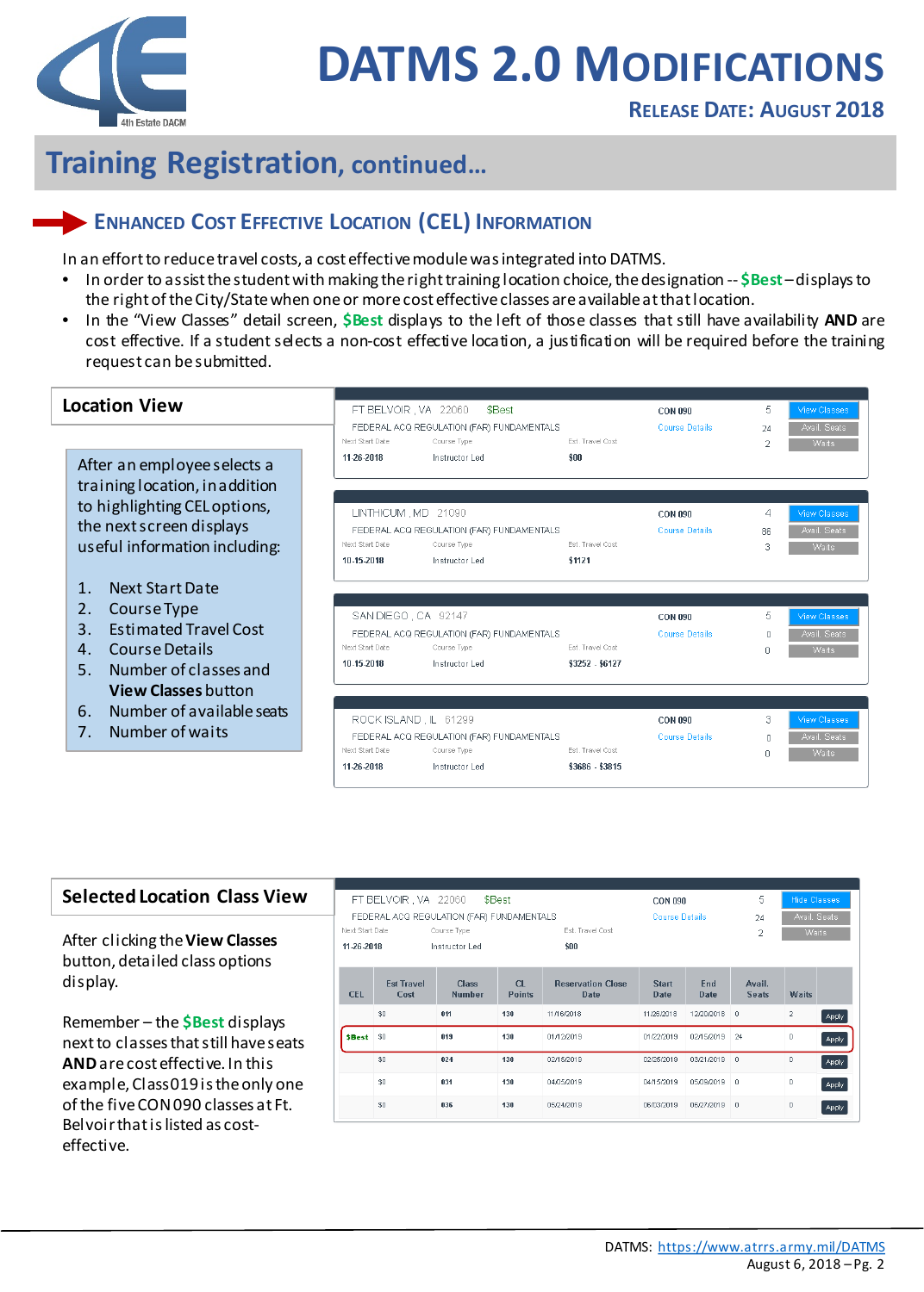

## **Training Registration, continued…**

## **ENHANCED COST EFFECTIVE LOCATION (CEL) INFORMATION**

In an effort to reduce travel costs, a cost effective module was integrated into DATMS.

- In order to assist the student with making the right training location choice, the designation -- **\$Best** –displays to the right of the City/State when one or more cost effective classes are available at that location.
- In the "View Classes" detail screen, **\$Best** displays to the left of those classes that still have availability **AND** are cost effective. If a student selects a non-cost effective location, a justification will be required before the training request can besubmitted.

| <b>Location View</b>                                                                                                                   | FT BELVOIR, VA 22060<br>Next Start Date                | \$Best<br>FEDERAL ACQ REGULATION (FAR) FUNDAMENTALS<br>Course Type         | Est. Travel Cost                    | CON 090<br><b>Course Details</b>        | 5.<br>24            | <b>View Classes</b><br>Avail. Seats<br>Waits        |
|----------------------------------------------------------------------------------------------------------------------------------------|--------------------------------------------------------|----------------------------------------------------------------------------|-------------------------------------|-----------------------------------------|---------------------|-----------------------------------------------------|
| After an employee selects a<br>training location, in addition<br>to highlighting CEL options,<br>the next screen displays              | 11-26-2018<br>LINTHICUM MD 21090                       | Instructor Led<br>FEDERAL ACQ REGULATION (FAR) FUNDAMENTALS                | sin                                 | <b>CON 090</b><br><b>Course Details</b> | 4<br>86.            | <b>View Classes</b><br>Avail. Seats                 |
| useful information including:                                                                                                          | Next Start Date<br>10.15.2018                          | Course Type<br>Instructor Led                                              | Est. Travel Cost<br>\$1121          |                                         | З                   | <b>Waits</b>                                        |
| Next Start Date<br>1<br>2.<br>Course Type<br><b>Estimated Travel Cost</b><br>3.<br>Course Details<br>4.<br>Number of classes and<br>5. | SAN DIEGO, CA 92147<br>Next Start Date<br>10-15-2018   | FEDERAL ACQ REGULATION (FAR) FUNDAMENTALS<br>Course Type<br>Instructor Led | Est. Travel Cost<br>\$3252 - \$6127 | <b>CON 090</b><br><b>Course Details</b> | 5.<br>$\Omega$<br>n | <b>View Classes</b><br>Avail. Seats<br><b>Waits</b> |
| <b>View Classes button</b><br>Number of available seats<br>6.<br>Number of waits<br>7 <sub>1</sub>                                     | ROCK ISLAND, IL 61299<br>Next Start Date<br>11-26-2018 | FEDERAL ACQ REGULATION (FAR) FUNDAMENTALS<br>Course Type<br>Instructor Led | Est. Travel Cost<br>\$3686 - \$3815 | <b>CON 090</b><br><b>Course Details</b> | 3<br>$\Omega$<br>n  | <b>View Classes</b><br>Avail, Seats<br><b>Waits</b> |

#### **Selected Location Class View**

After clicking the **View Classes**  button, detailed class options display.

Remember – the **\$Best** displays next to classes that still have seats **AND**are cost effective. In this example, Class 019 is the only one of the five CON 090 classes at Ft. Belvoir that is listed as costeffective.

|                 | FT BELVOIR , VA 22060     |                                           | \$Best              |                                  | <b>CON 090</b>              |              | 5<br><b>Hide Classes</b> |                |       |  |
|-----------------|---------------------------|-------------------------------------------|---------------------|----------------------------------|-----------------------------|--------------|--------------------------|----------------|-------|--|
|                 |                           | FEDERAL ACQ REGULATION (FAR) FUNDAMENTALS |                     |                                  | <b>Course Details</b>       |              | Avail, Seats<br>24       |                |       |  |
| Next Start Date |                           | Course Type                               |                     | Est. Travel Cost                 |                             |              | $\overline{2}$           | Waits:         |       |  |
| 11-26-2018      |                           | Instructor Led                            |                     | \$00                             |                             |              |                          |                |       |  |
| <b>CEL</b>      | <b>Est Travel</b><br>Cost | <b>Class</b><br><b>Number</b>             | CL<br><b>Points</b> | <b>Reservation Close</b><br>Date | <b>Start</b><br><b>Date</b> | End<br>Date  | Avail.<br><b>Seats</b>   | <b>Waits</b>   |       |  |
|                 | \$0                       | 011                                       | 130                 | 11/16/2018                       | 11/26/2018                  | 12/20/2018 0 |                          | $\overline{2}$ | Apply |  |
| <b>SBest</b>    | \$0                       | 019                                       | 130                 | 01/12/2019                       | 01/22/2019                  | 02/15/2019   | 24<br>0<br>Apply         |                |       |  |
|                 | \$0                       | 024                                       | 130                 | 02/15/2019                       | 02/25/2019                  | 03/21/2019   | $\mathbf 0$              | 0              | Apply |  |
|                 | \$0                       | 031                                       | 130                 | 04/05/2019                       | 04/15/2019                  | 05/09/2019   | 0                        | 0              | Apply |  |
|                 | \$0                       | 036                                       | 130                 | 05/24/2019                       | 06/03/2019                  | 06/27/2019   | $\mathbf 0$              | 0              | Apply |  |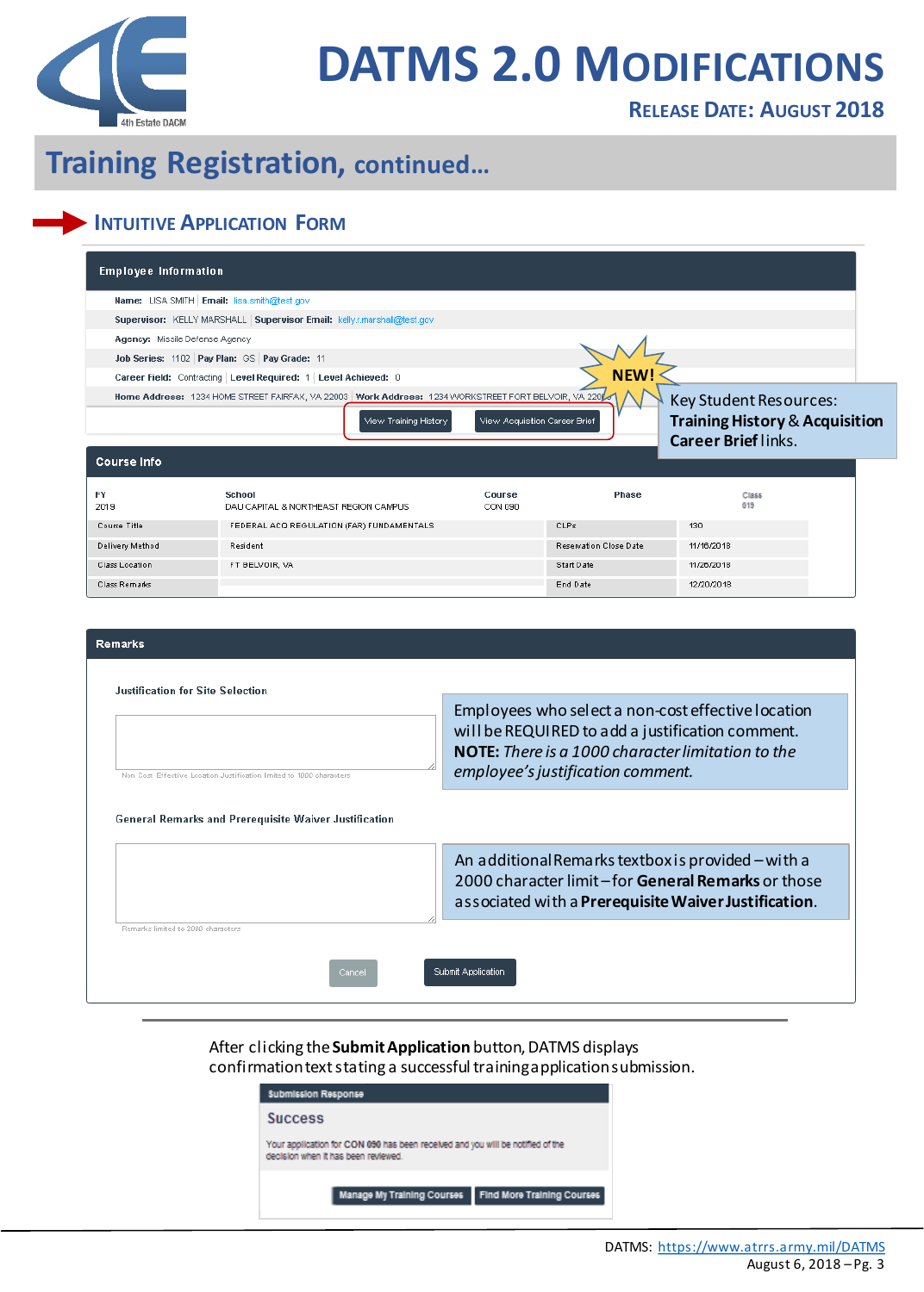

### **RELEASE DATE: AUGUST 2018**

# **Training Registration, continued…**

## **INTUITIVE APPLICATION FORM**

| <b>Employee Information</b>                 |                                                                                                                                 |                               |                        |                                                                     |  |
|---------------------------------------------|---------------------------------------------------------------------------------------------------------------------------------|-------------------------------|------------------------|---------------------------------------------------------------------|--|
| Name: LISA SMITH Email: lisa.smith@test.gov |                                                                                                                                 |                               |                        |                                                                     |  |
|                                             | Supervisor: KELLY MARSHALL   Supervisor Email: kelly.r.marshall@test.gov                                                        |                               |                        |                                                                     |  |
| Agency: Missile Defense Agency              |                                                                                                                                 |                               |                        |                                                                     |  |
|                                             | Job Series: 1102 Pay Plan: GS Pay Grade: 11                                                                                     |                               |                        |                                                                     |  |
|                                             | Career Field: Contracting Level Required: 1 Level Achieved: 0                                                                   |                               | NEW!                   |                                                                     |  |
|                                             | Home Address: 1234 HOME STREET FAIRFAX, VA 22003   Work Address: 1234 WORKSTREET FORT BELVOIR, VA 2208<br>View Training History | View Acquisition Career Brief |                        | Key Student Resources:<br><b>Training History &amp; Acquisition</b> |  |
| <b>Course Info</b>                          |                                                                                                                                 |                               |                        | <b>Career Brief links.</b>                                          |  |
| <b>FY</b><br>2019                           | School<br>DAU CAPITAL & NORTHEAST REGION CAMPUS.                                                                                | Course<br>CON 090             | Phase                  | Class<br>019                                                        |  |
| Course Title                                | FEDERAL ACQ REGULATION (FAR) FUNDAMENTALS                                                                                       |                               | CLPs                   | 130                                                                 |  |
| Delivery Method                             | Resident                                                                                                                        |                               | Reservation Close Date | 11/16/2018                                                          |  |
| Class Location                              | FT BELVOIR, VA                                                                                                                  |                               | Start Date             | 11/26/2018                                                          |  |
| Class Remarks                               |                                                                                                                                 |                               | End Date               | 12/20/2018                                                          |  |
|                                             |                                                                                                                                 |                               |                        |                                                                     |  |
| <b>Remarks</b>                              |                                                                                                                                 |                               |                        |                                                                     |  |
|                                             |                                                                                                                                 |                               |                        |                                                                     |  |

| Employees who select a non-cost effective location<br>will be REQUIRED to add a justification comment.<br><b>NOTE:</b> There is a 1000 character limitation to the<br>employee's justification comment. |
|---------------------------------------------------------------------------------------------------------------------------------------------------------------------------------------------------------|
|                                                                                                                                                                                                         |
| An additional Remarks textbox is provided – with a<br>2000 character limit-for General Remarks or those<br>associated with a Prerequisite Waiver Justification.                                         |
|                                                                                                                                                                                                         |
| Submit Application                                                                                                                                                                                      |
|                                                                                                                                                                                                         |

#### After clicking the **Submit Application** button, DATMS displays confirmation text stating a successful training application submission.

Submission Response **Success** Your application for CON 090 has been received and you will be notified of the decision when it has been reviewed. Manage My Training Courses Find More Training Courses